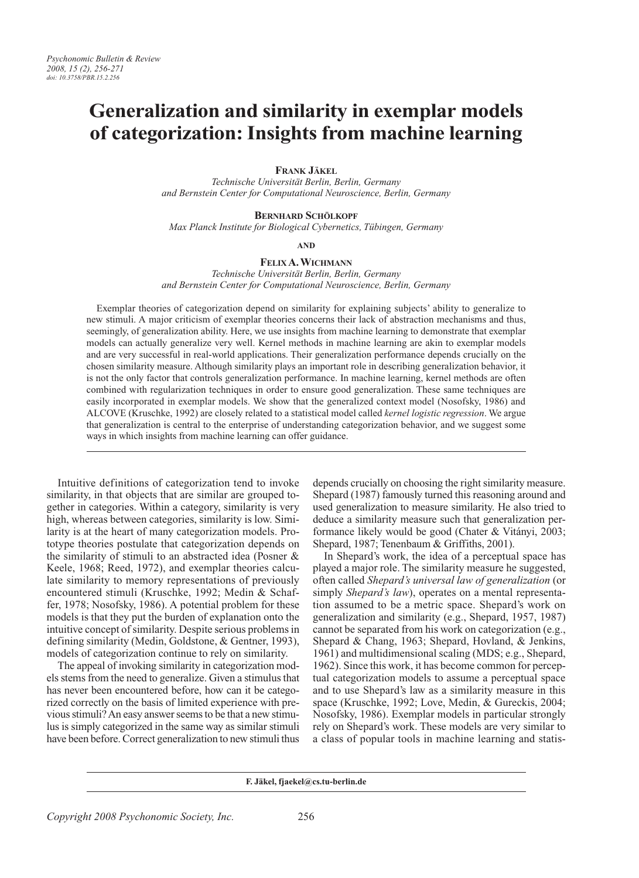# **Generalization and similarity in exemplar models** of categorization: Insights from machine learning

**FRANK JÄKEL** 

Technische Universität Berlin, Berlin, Germany and Bernstein Center for Computational Neuroscience, Berlin, Germany

## **BERNHARD SCHÖLKOPF**

Max Planck Institute for Biological Cybernetics, Tübingen, Germany

**AND** 

# FELIX A. WICHMANN

Technische Universität Berlin, Berlin, Germany and Bernstein Center for Computational Neuroscience, Berlin, Germany

Exemplar theories of categorization depend on similarity for explaining subjects' ability to generalize to new stimuli. A major criticism of exemplar theories concerns their lack of abstraction mechanisms and thus, seemingly, of generalization ability. Here, we use insights from machine learning to demonstrate that exemplar models can actually generalize very well. Kernel methods in machine learning are akin to exemplar models and are very successful in real-world applications. Their generalization performance depends crucially on the chosen similarity measure. Although similarity plays an important role in describing generalization behavior, it is not the only factor that controls generalization performance. In machine learning, kernel methods are often combined with regularization techniques in order to ensure good generalization. These same techniques are easily incorporated in exemplar models. We show that the generalized context model (Nosofsky, 1986) and ALCOVE (Kruschke, 1992) are closely related to a statistical model called *kernel logistic regression*. We argue that generalization is central to the enterprise of understanding categorization behavior, and we suggest some ways in which insights from machine learning can offer guidance.

Intuitive definitions of categorization tend to invoke similarity, in that objects that are similar are grouped together in categories. Within a category, similarity is very high, whereas between categories, similarity is low. Similarity is at the heart of many categorization models. Prototype theories postulate that categorization depends on the similarity of stimuli to an abstracted idea (Posner & Keele, 1968; Reed, 1972), and exemplar theories calculate similarity to memory representations of previously encountered stimuli (Kruschke, 1992; Medin & Schaffer, 1978; Nosofsky, 1986). A potential problem for these models is that they put the burden of explanation onto the intuitive concept of similarity. Despite serious problems in defining similarity (Medin, Goldstone, & Gentner, 1993), models of categorization continue to rely on similarity.

The appeal of invoking similarity in categorization models stems from the need to generalize. Given a stimulus that has never been encountered before, how can it be categorized correctly on the basis of limited experience with previous stimuli? An easy answer seems to be that a new stimulus is simply categorized in the same way as similar stimuli have been before. Correct generalization to new stimuli thus depends crucially on choosing the right similarity measure. Shepard (1987) famously turned this reasoning around and used generalization to measure similarity. He also tried to deduce a similarity measure such that generalization performance likely would be good (Chater & Vitányi, 2003; Shepard, 1987; Tenenbaum & Griffiths, 2001).

In Shepard's work, the idea of a perceptual space has played a major role. The similarity measure he suggested, often called Shepard's universal law of generalization (or simply Shepard's law), operates on a mental representation assumed to be a metric space. Shepard's work on generalization and similarity (e.g., Shepard, 1957, 1987) cannot be separated from his work on categorization (e.g., Shepard & Chang, 1963; Shepard, Hovland, & Jenkins, 1961) and multidimensional scaling (MDS; e.g., Shepard, 1962). Since this work, it has become common for perceptual categorization models to assume a perceptual space and to use Shepard's law as a similarity measure in this space (Kruschke, 1992; Love, Medin, & Gureckis, 2004; Nosofsky, 1986). Exemplar models in particular strongly rely on Shepard's work. These models are very similar to a class of popular tools in machine learning and statis-

F. Jäkel, fjaekel@cs.tu-berlin.de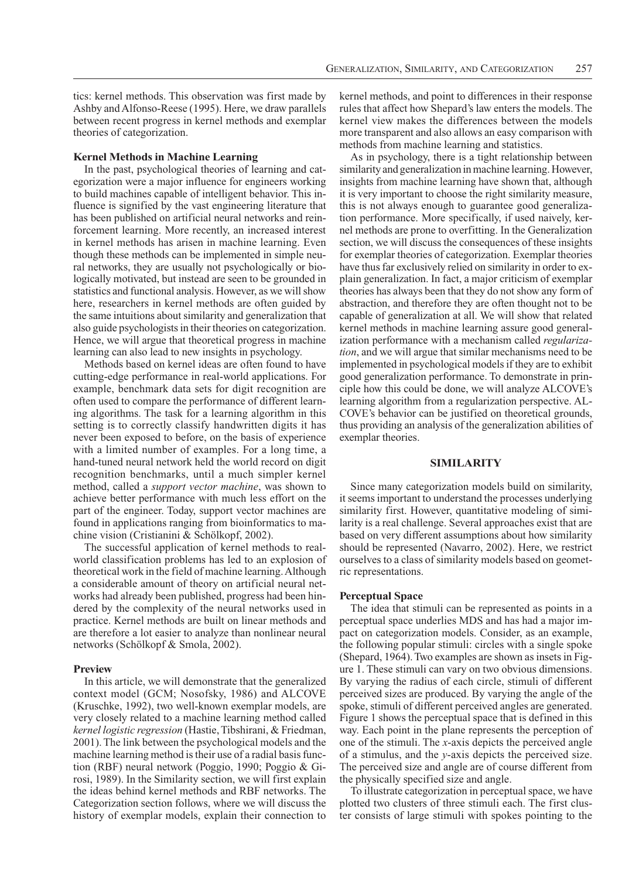tics: kernel methods. This observation was first made by Ashby and Alfonso-Reese (1995). Here, we draw parallels between recent progress in kernel methods and exemplar theories of categorization.

## **Kernel Methods in Machine Learning**

In the past, psychological theories of learning and categorization were a major influence for engineers working to build machines capable of intelligent behavior. This influence is signified by the vast engineering literature that has been published on artificial neural networks and reinforcement learning. More recently, an increased interest in kernel methods has arisen in machine learning. Even though these methods can be implemented in simple neural networks, they are usually not psychologically or biologically motivated, but instead are seen to be grounded in statistics and functional analysis. However, as we will show here, researchers in kernel methods are often guided by the same intuitions about similarity and generalization that also guide psychologists in their theories on categorization. Hence, we will argue that theoretical progress in machine learning can also lead to new insights in psychology.

Methods based on kernel ideas are often found to have cutting-edge performance in real-world applications. For example, benchmark data sets for digit recognition are often used to compare the performance of different learning algorithms. The task for a learning algorithm in this setting is to correctly classify handwritten digits it has never been exposed to before, on the basis of experience with a limited number of examples. For a long time, a hand-tuned neural network held the world record on digit recognition benchmarks, until a much simpler kernel method, called a *support vector machine*, was shown to achieve better performance with much less effort on the part of the engineer. Today, support vector machines are found in applications ranging from bioinformatics to machine vision (Cristianini & Schölkopf, 2002).

The successful application of kernel methods to realworld classification problems has led to an explosion of theoretical work in the field of machine learning. Although a considerable amount of theory on artificial neural networks had already been published, progress had been hindered by the complexity of the neural networks used in practice. Kernel methods are built on linear methods and are therefore a lot easier to analyze than nonlinear neural networks (Schölkopf & Smola, 2002).

## **Preview**

In this article, we will demonstrate that the generalized context model (GCM; Nosofsky, 1986) and ALCOVE (Kruschke, 1992), two well-known exemplar models, are very closely related to a machine learning method called kernel logistic regression (Hastie, Tibshirani, & Friedman, 2001). The link between the psychological models and the machine learning method is their use of a radial basis function (RBF) neural network (Poggio, 1990; Poggio & Girosi, 1989). In the Similarity section, we will first explain the ideas behind kernel methods and RBF networks. The Categorization section follows, where we will discuss the history of exemplar models, explain their connection to

kernel methods, and point to differences in their response rules that affect how Shepard's law enters the models. The kernel view makes the differences between the models more transparent and also allows an easy comparison with methods from machine learning and statistics.

As in psychology, there is a tight relationship between similarity and generalization in machine learning. However, insights from machine learning have shown that, although it is very important to choose the right similarity measure, this is not always enough to guarantee good generalization performance. More specifically, if used naively, kernel methods are prone to overfitting. In the Generalization section, we will discuss the consequences of these insights for exemplar theories of categorization. Exemplar theories have thus far exclusively relied on similarity in order to explain generalization. In fact, a major criticism of exemplar theories has always been that they do not show any form of abstraction, and therefore they are often thought not to be capable of generalization at all. We will show that related kernel methods in machine learning assure good generalization performance with a mechanism called *regularization*, and we will argue that similar mechanisms need to be implemented in psychological models if they are to exhibit good generalization performance. To demonstrate in principle how this could be done, we will analyze ALCOVE's learning algorithm from a regularization perspective. AL-COVE's behavior can be justified on theoretical grounds, thus providing an analysis of the generalization abilities of exemplar theories.

#### **SIMILARITY**

Since many categorization models build on similarity, it seems important to understand the processes underlying similarity first. However, quantitative modeling of similarity is a real challenge. Several approaches exist that are based on very different assumptions about how similarity should be represented (Navarro, 2002). Here, we restrict ourselves to a class of similarity models based on geometric representations.

#### **Perceptual Space**

The idea that stimuli can be represented as points in a perceptual space underlies MDS and has had a major impact on categorization models. Consider, as an example, the following popular stimuli: circles with a single spoke (Shepard, 1964). Two examples are shown as insets in Figure 1. These stimuli can vary on two obvious dimensions. By varying the radius of each circle, stimuli of different perceived sizes are produced. By varying the angle of the spoke, stimuli of different perceived angles are generated. Figure 1 shows the perceptual space that is defined in this way. Each point in the plane represents the perception of one of the stimuli. The *x*-axis depicts the perceived angle of a stimulus, and the  $y$ -axis depicts the perceived size. The perceived size and angle are of course different from the physically specified size and angle.

To illustrate categorization in perceptual space, we have plotted two clusters of three stimuli each. The first cluster consists of large stimuli with spokes pointing to the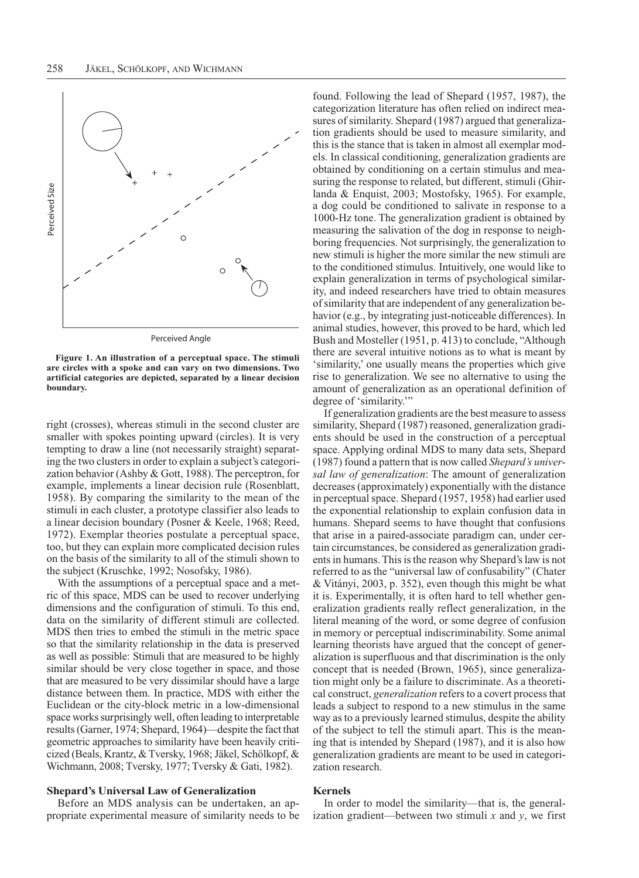

Perceived Angle

Figure 1. An illustration of a perceptual space. The stimuli are circles with a spoke and can vary on two dimensions. Two artificial categories are depicted, separated by a linear decision boundary.

right (crosses), whereas stimuli in the second cluster are smaller with spokes pointing upward (circles). It is very tempting to draw a line (not necessarily straight) separating the two clusters in order to explain a subject's categorization behavior (Ashby & Gott, 1988). The perceptron, for example, implements a linear decision rule (Rosenblatt, 1958). By comparing the similarity to the mean of the stimuli in each cluster, a prototype classifier also leads to a linear decision boundary (Posner & Keele, 1968; Reed, 1972). Exemplar theories postulate a perceptual space, too, but they can explain more complicated decision rules on the basis of the similarity to all of the stimuli shown to the subject (Kruschke, 1992; Nosofsky, 1986).

With the assumptions of a perceptual space and a metric of this space, MDS can be used to recover underlying dimensions and the configuration of stimuli. To this end, data on the similarity of different stimuli are collected. MDS then tries to embed the stimuli in the metric space so that the similarity relationship in the data is preserved as well as possible: Stimuli that are measured to be highly similar should be very close together in space, and those that are measured to be very dissimilar should have a large distance between them. In practice, MDS with either the Euclidean or the city-block metric in a low-dimensional space works surprisingly well, often leading to interpretable results (Garner, 1974; Shepard, 1964)—despite the fact that geometric approaches to similarity have been heavily criticized (Beals, Krantz, & Tversky, 1968; Jäkel, Schölkopf, & Wichmann, 2008; Tversky, 1977; Tversky & Gati, 1982).

## **Shepard's Universal Law of Generalization**

Before an MDS analysis can be undertaken, an appropriate experimental measure of similarity needs to be

found. Following the lead of Shepard (1957, 1987), the categorization literature has often relied on indirect measures of similarity. Shepard (1987) argued that generalization gradients should be used to measure similarity, and this is the stance that is taken in almost all exemplar models. In classical conditioning, generalization gradients are obtained by conditioning on a certain stimulus and measuring the response to related, but different, stimuli (Ghirlanda & Enquist, 2003; Mostofsky, 1965). For example, a dog could be conditioned to salivate in response to a 1000-Hz tone. The generalization gradient is obtained by measuring the salivation of the dog in response to neighboring frequencies. Not surprisingly, the generalization to new stimuli is higher the more similar the new stimuli are to the conditioned stimulus. Intuitively, one would like to explain generalization in terms of psychological similarity, and indeed researchers have tried to obtain measures of similarity that are independent of any generalization behavior (e.g., by integrating just-noticeable differences). In animal studies, however, this proved to be hard, which led Bush and Mosteller (1951, p. 413) to conclude, "Although there are several intuitive notions as to what is meant by 'similarity,' one usually means the properties which give rise to generalization. We see no alternative to using the amount of generalization as an operational definition of degree of 'similarity."

If generalization gradients are the best measure to assess similarity, Shepard (1987) reasoned, generalization gradients should be used in the construction of a perceptual space. Applying ordinal MDS to many data sets, Shepard (1987) found a pattern that is now called *Shepard's univer*sal law of generalization: The amount of generalization decreases (approximately) exponentially with the distance in perceptual space. Shepard (1957, 1958) had earlier used the exponential relationship to explain confusion data in humans. Shepard seems to have thought that confusions that arise in a paired-associate paradigm can, under certain circumstances, be considered as generalization gradients in humans. This is the reason why Shepard's law is not referred to as the "universal law of confusability" (Chater & Vitányi, 2003, p. 352), even though this might be what it is. Experimentally, it is often hard to tell whether generalization gradients really reflect generalization, in the literal meaning of the word, or some degree of confusion in memory or perceptual indiscriminability. Some animal learning theorists have argued that the concept of generalization is superfluous and that discrimination is the only concept that is needed (Brown, 1965), since generalization might only be a failure to discriminate. As a theoretical construct, *generalization* refers to a covert process that leads a subject to respond to a new stimulus in the same way as to a previously learned stimulus, despite the ability of the subject to tell the stimuli apart. This is the meaning that is intended by Shepard (1987), and it is also how generalization gradients are meant to be used in categorization research.

# **Kernels**

In order to model the similarity—that is, the generalization gradient—between two stimuli x and y, we first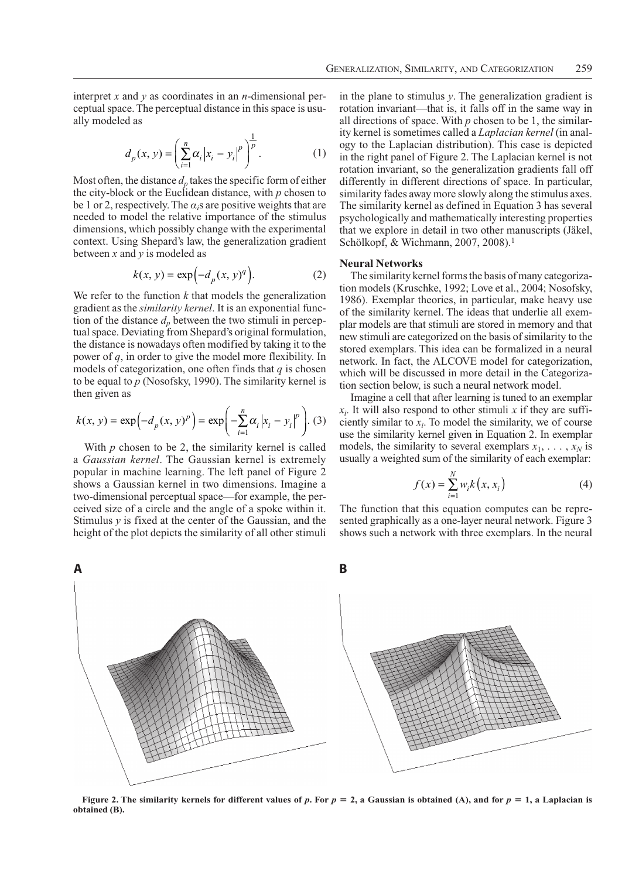interpret x and y as coordinates in an *n*-dimensional perceptual space. The perceptual distance in this space is usually modeled as

$$
d_p(x, y) = \left(\sum_{i=1}^n \alpha_i |x_i - y_i|^p\right)^{\frac{1}{p}}.
$$
 (1)

Most often, the distance  $d_p$  takes the specific form of either the city-block or the Euclidean distance, with  $p$  chosen to be 1 or 2, respectively. The  $\alpha_i$ s are positive weights that are needed to model the relative importance of the stimulus dimensions, which possibly change with the experimental context. Using Shepard's law, the generalization gradient between  $x$  and  $y$  is modeled as

$$
k(x, y) = \exp(-d_p(x, y)^q).
$$
 (2)

We refer to the function  $k$  that models the generalization gradient as the *similarity kernel*. It is an exponential function of the distance  $d<sub>n</sub>$  between the two stimuli in perceptual space. Deviating from Shepard's original formulation, the distance is nowadays often modified by taking it to the power of  $q$ , in order to give the model more flexibility. In models of categorization, one often finds that  $q$  is chosen to be equal to  $p$  (Nosofsky, 1990). The similarity kernel is then given as

$$
k(x, y) = \exp(-d_p(x, y)^p) = \exp\left(-\sum_{i=1}^n \alpha_i |x_i - y_i|^p\right).
$$
 (3)

With  $p$  chosen to be 2, the similarity kernel is called a Gaussian kernel. The Gaussian kernel is extremely popular in machine learning. The left panel of Figure 2 shows a Gaussian kernel in two dimensions. Imagine a two-dimensional perceptual space—for example, the perceived size of a circle and the angle of a spoke within it. Stimulus  $\nu$  is fixed at the center of the Gaussian, and the height of the plot depicts the similarity of all other stimuli in the plane to stimulus  $y$ . The generalization gradient is rotation invariant—that is, it falls off in the same way in all directions of space. With  $p$  chosen to be 1, the similarity kernel is sometimes called a *Laplacian kernel* (in analogy to the Laplacian distribution). This case is depicted in the right panel of Figure 2. The Laplacian kernel is not rotation invariant, so the generalization gradients fall off differently in different directions of space. In particular, similarity fades away more slowly along the stimulus axes. The similarity kernel as defined in Equation 3 has several psychologically and mathematically interesting properties that we explore in detail in two other manuscripts (Jäkel, Schölkopf, & Wichmann, 2007, 2008).<sup>1</sup>

# **Neural Networks**

The similarity kernel forms the basis of many categorization models (Kruschke, 1992; Love et al., 2004; Nosofsky, 1986). Exemplar theories, in particular, make heavy use of the similarity kernel. The ideas that underlie all exemplar models are that stimuli are stored in memory and that new stimuli are categorized on the basis of similarity to the stored exemplars. This idea can be formalized in a neural network. In fact, the ALCOVE model for categorization, which will be discussed in more detail in the Categorization section below, is such a neural network model.

Imagine a cell that after learning is tuned to an exemplar  $x_i$ . It will also respond to other stimuli x if they are sufficiently similar to  $x_i$ . To model the similarity, we of course use the similarity kernel given in Equation 2. In exemplar models, the similarity to several exemplars  $x_1, \ldots, x_N$  is usually a weighted sum of the similarity of each exemplar:

$$
f(x) = \sum_{i=1}^{N} w_i k(x, x_i)
$$
 (4)

The function that this equation computes can be represented graphically as a one-layer neural network. Figure 3 shows such a network with three exemplars. In the neural



Figure 2. The similarity kernels for different values of p. For  $p = 2$ , a Gaussian is obtained (A), and for  $p = 1$ , a Laplacian is obtained (B).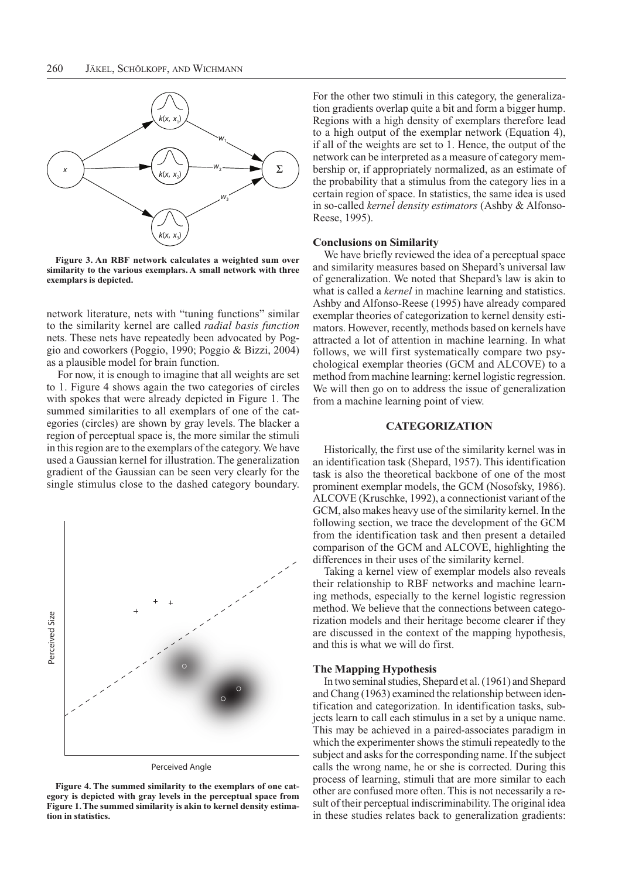

Figure 3. An RBF network calculates a weighted sum over similarity to the various exemplars. A small network with three exemplars is depicted.

network literature, nets with "tuning functions" similar to the similarity kernel are called *radial basis function* nets. These nets have repeatedly been advocated by Poggio and coworkers (Poggio, 1990; Poggio & Bizzi, 2004) as a plausible model for brain function.

For now, it is enough to imagine that all weights are set to 1. Figure 4 shows again the two categories of circles with spokes that were already depicted in Figure 1. The summed similarities to all exemplars of one of the categories (circles) are shown by gray levels. The blacker a region of perceptual space is, the more similar the stimuli in this region are to the exemplars of the category. We have used a Gaussian kernel for illustration. The generalization gradient of the Gaussian can be seen very clearly for the single stimulus close to the dashed category boundary.



Perceived Angle

Figure 4. The summed similarity to the exemplars of one category is depicted with gray levels in the perceptual space from Figure 1. The summed similarity is akin to kernel density estimation in statistics.

For the other two stimuli in this category, the generalization gradients overlap quite a bit and form a bigger hump. Regions with a high density of exemplars therefore lead to a high output of the exemplar network (Equation 4), if all of the weights are set to 1. Hence, the output of the network can be interpreted as a measure of category membership or, if appropriately normalized, as an estimate of the probability that a stimulus from the category lies in a certain region of space. In statistics, the same idea is used in so-called *kernel density estimators* (Ashby & Alfonso-Reese, 1995).

## **Conclusions on Similarity**

We have briefly reviewed the idea of a perceptual space and similarity measures based on Shepard's universal law of generalization. We noted that Shepard's law is akin to what is called a *kernel* in machine learning and statistics. Ashby and Alfonso-Reese (1995) have already compared exemplar theories of categorization to kernel density estimators. However, recently, methods based on kernels have attracted a lot of attention in machine learning. In what follows, we will first systematically compare two psychological exemplar theories (GCM and ALCOVE) to a method from machine learning: kernel logistic regression. We will then go on to address the issue of generalization from a machine learning point of view.

# **CATEGORIZATION**

Historically, the first use of the similarity kernel was in an identification task (Shepard, 1957). This identification task is also the theoretical backbone of one of the most prominent exemplar models, the GCM (Nosofsky, 1986). ALCOVE (Kruschke, 1992), a connectionist variant of the GCM, also makes heavy use of the similarity kernel. In the following section, we trace the development of the GCM from the identification task and then present a detailed comparison of the GCM and ALCOVE, highlighting the differences in their uses of the similarity kernel.

Taking a kernel view of exemplar models also reveals their relationship to RBF networks and machine learning methods, especially to the kernel logistic regression method. We believe that the connections between categorization models and their heritage become clearer if they are discussed in the context of the mapping hypothesis, and this is what we will do first.

#### **The Mapping Hypothesis**

In two seminal studies, Shepard et al. (1961) and Shepard and Chang (1963) examined the relationship between identification and categorization. In identification tasks, subjects learn to call each stimulus in a set by a unique name. This may be achieved in a paired-associates paradigm in which the experimenter shows the stimuli repeatedly to the subject and asks for the corresponding name. If the subject calls the wrong name, he or she is corrected. During this process of learning, stimuli that are more similar to each other are confused more often. This is not necessarily a result of their perceptual indiscriminability. The original idea in these studies relates back to generalization gradients: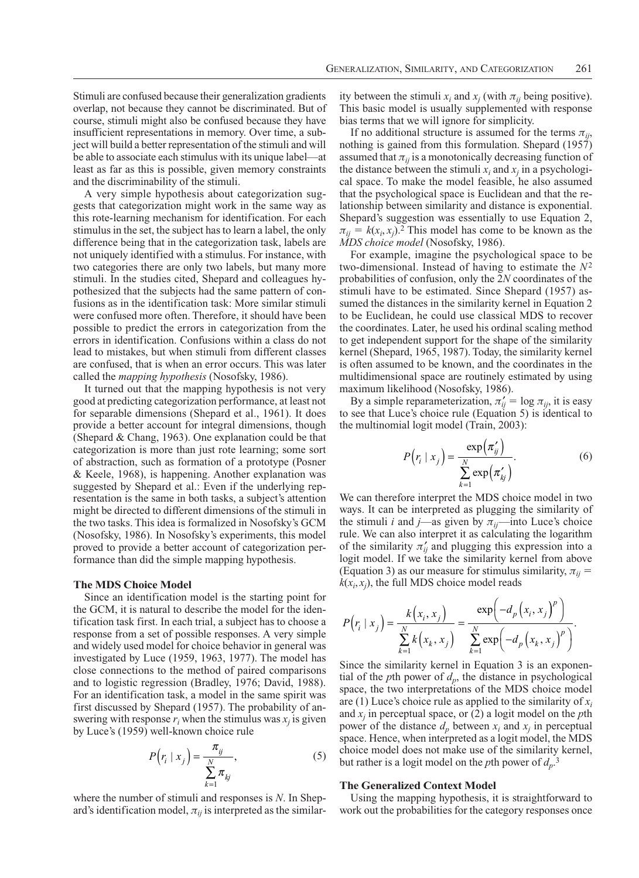Stimuli are confused because their generalization gradients overlap, not because they cannot be discriminated. But of course, stimuli might also be confused because they have insufficient representations in memory. Over time, a subject will build a better representation of the stimuli and will be able to associate each stimulus with its unique label—at least as far as this is possible, given memory constraints and the discriminability of the stimuli.

A very simple hypothesis about categorization suggests that categorization might work in the same way as this rote-learning mechanism for identification. For each stimulus in the set, the subject has to learn a label, the only difference being that in the categorization task, labels are not uniquely identified with a stimulus. For instance, with two categories there are only two labels, but many more stimuli. In the studies cited, Shepard and colleagues hypothesized that the subjects had the same pattern of confusions as in the identification task: More similar stimuli were confused more often. Therefore, it should have been possible to predict the errors in categorization from the errors in identification. Confusions within a class do not lead to mistakes, but when stimuli from different classes are confused, that is when an error occurs. This was later called the *mapping hypothesis* (Nosofsky, 1986).

It turned out that the mapping hypothesis is not very good at predicting categorization performance, at least not for separable dimensions (Shepard et al., 1961). It does provide a better account for integral dimensions, though (Shepard & Chang, 1963). One explanation could be that categorization is more than just rote learning; some sort of abstraction, such as formation of a prototype (Posner & Keele, 1968), is happening. Another explanation was suggested by Shepard et al.: Even if the underlying representation is the same in both tasks, a subject's attention might be directed to different dimensions of the stimuli in the two tasks. This idea is formalized in Nosofsky's GCM (Nosofsky, 1986). In Nosofsky's experiments, this model proved to provide a better account of categorization performance than did the simple mapping hypothesis.

# **The MDS Choice Model**

Since an identification model is the starting point for the GCM, it is natural to describe the model for the identification task first. In each trial, a subject has to choose a response from a set of possible responses. A very simple and widely used model for choice behavior in general was investigated by Luce (1959, 1963, 1977). The model has close connections to the method of paired comparisons and to logistic regression (Bradley, 1976; David, 1988). For an identification task, a model in the same spirit was first discussed by Shepard (1957). The probability of answering with response  $r_i$  when the stimulus was  $x_i$  is given by Luce's (1959) well-known choice rule

$$
P(r_i \mid x_j) = \frac{\pi_{ij}}{\sum_{k=1}^{N} \pi_{kj}},
$$
\n<sup>(5)</sup>

where the number of stimuli and responses is  $N$ . In Shepard's identification model,  $\pi_{ij}$  is interpreted as the similarity between the stimuli  $x_i$  and  $x_j$  (with  $\pi_{ij}$  being positive). This basic model is usually supplemented with response bias terms that we will ignore for simplicity.

If no additional structure is assumed for the terms  $\pi_{ii}$ , nothing is gained from this formulation. Shepard  $(1957)$ assumed that  $\pi_{ii}$  is a monotonically decreasing function of the distance between the stimuli  $x_i$  and  $x_j$  in a psychological space. To make the model feasible, he also assumed that the psychological space is Euclidean and that the relationship between similarity and distance is exponential. Shepard's suggestion was essentially to use Equation 2,  $\pi_{ii} = k(x_i, x_i)$ .<sup>2</sup> This model has come to be known as the MDS choice model (Nosofsky, 1986).

For example, imagine the psychological space to be two-dimensional. Instead of having to estimate the  $N^2$ probabilities of confusion, only the 2N coordinates of the stimuli have to be estimated. Since Shepard (1957) assumed the distances in the similarity kernel in Equation 2 to be Euclidean, he could use classical MDS to recover the coordinates. Later, he used his ordinal scaling method to get independent support for the shape of the similarity kernel (Shepard, 1965, 1987). Today, the similarity kernel is often assumed to be known, and the coordinates in the multidimensional space are routinely estimated by using maximum likelihood (Nosofsky, 1986).

By a simple reparameterization,  $\pi'_{ii} = \log \pi_{ii}$ , it is easy to see that Luce's choice rule (Equation 5) is identical to the multinomial logit model (Train, 2003):

$$
P(r_i \mid x_j) = \frac{\exp(\pi'_j)}{\sum_{k=1}^N \exp(\pi'_{kj})}.
$$
 (6)

We can therefore interpret the MDS choice model in two ways. It can be interpreted as plugging the similarity of the stimuli *i* and *j*—as given by  $\pi_{ii}$ —into Luce's choice rule. We can also interpret it as calculating the logarithm of the similarity  $\pi'_{ii}$  and plugging this expression into a logit model. If we take the similarity kernel from above (Equation 3) as our measure for stimulus similarity,  $\pi_{ii}$  =  $k(x_i, x_j)$ , the full MDS choice model reads

$$
P(r_i | x_j) = \frac{k(x_i, x_j)}{\sum_{k=1}^{N} k(x_k, x_j)} = \frac{\exp(-d_p(x_i, x_j)^p)}{\sum_{k=1}^{N} \exp(-d_p(x_k, x_j)^p)}.
$$

Since the similarity kernel in Equation 3 is an exponential of the pth power of  $d_p$ , the distance in psychological space, the two interpretations of the MDS choice model are (1) Luce's choice rule as applied to the similarity of  $x_i$ and  $x_i$  in perceptual space, or (2) a logit model on the pth power of the distance  $d_p$  between  $x_i$  and  $x_j$  in perceptual space. Hence, when interpreted as a logit model, the MDS choice model does not make use of the similarity kernel, but rather is a logit model on the pth power of  $d_p$ .

#### **The Generalized Context Model**

Using the mapping hypothesis, it is straightforward to work out the probabilities for the category responses once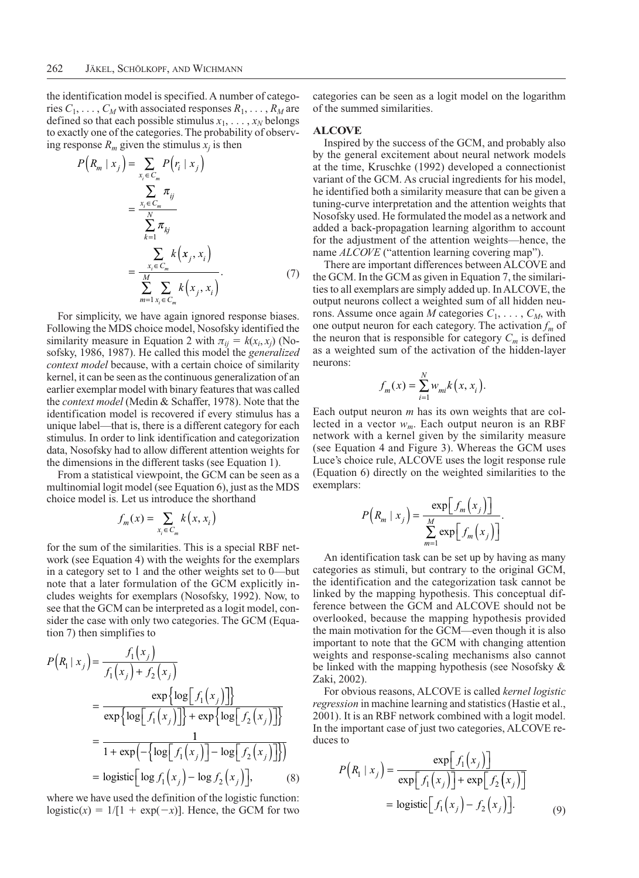the identification model is specified. A number of categories  $C_1, \ldots, C_M$  with associated responses  $R_1, \ldots, R_M$  are defined so that each possible stimulus  $x_1, \ldots, x_N$  belongs to exactly one of the categories. The probability of observing response  $R_m$  given the stimulus  $x_i$  is then

$$
P(R_m | x_j) = \sum_{x_i \in C_m} P(r_i | x_j)
$$
  
= 
$$
\frac{\sum_{x_i \in C_m} \pi_{ij}}{\sum_{k=1}^N \pi_{kj}}
$$
  
= 
$$
\frac{\sum_{x_i \in C_m} k(x_j, x_i)}{\sum_{m=1}^M \sum_{x_i \in C_m} k(x_j, x_i)}.
$$
 (7)

For simplicity, we have again ignored response biases. Following the MDS choice model, Nosofsky identified the similarity measure in Equation 2 with  $\pi_{ii} = k(x_i, x_j)$  (Nosofsky, 1986, 1987). He called this model the *generalized* context model because, with a certain choice of similarity kernel, it can be seen as the continuous generalization of an earlier exemplar model with binary features that was called the *context model* (Medin & Schaffer, 1978). Note that the identification model is recovered if every stimulus has a unique label—that is, there is a different category for each stimulus. In order to link identification and categorization data, Nosofsky had to allow different attention weights for the dimensions in the different tasks (see Equation 1).

From a statistical viewpoint, the GCM can be seen as a multinomial logit model (see Equation 6), just as the MDS choice model is. Let us introduce the shorthand

$$
f_m(x) = \sum_{x_i \in C_m} k(x, x_i)
$$

for the sum of the similarities. This is a special RBF network (see Equation 4) with the weights for the exemplars in a category set to 1 and the other weights set to  $0$ —but note that a later formulation of the GCM explicitly includes weights for exemplars (Nosofsky, 1992). Now, to see that the GCM can be interpreted as a logit model, consider the case with only two categories. The GCM (Equation 7) then simplifies to

$$
P(R_1 | x_j) = \frac{f_1(x_j)}{f_1(x_j) + f_2(x_j)}
$$
  
= 
$$
\frac{\exp{\log[f_1(x_j)]}}{\exp{\log[f_1(x_j)]} + \exp{\log[f_2(x_j)]}}
$$
  
= 
$$
\frac{1}{1 + \exp(-{\log[f_1(x_j)] - \log[f_2(x_j)]})}
$$
  
= 
$$
\log[\log[f_1(x_j) - \log[f_2(x_j)]])
$$
 (8)

where we have used the definition of the logistic function:  $logistic(x) = 1/[1 + exp(-x)]$ . Hence, the GCM for two

categories can be seen as a logit model on the logarithm of the summed similarities.

# **ALCOVE**

Inspired by the success of the GCM, and probably also by the general excitement about neural network models at the time, Kruschke (1992) developed a connectionist variant of the GCM. As crucial ingredients for his model, he identified both a similarity measure that can be given a tuning-curve interpretation and the attention weights that Nosofsky used. He formulated the model as a network and added a back-propagation learning algorithm to account for the adjustment of the attention weights—hence, the name *ALCOVE* ("attention learning covering map").

There are important differences between ALCOVE and the GCM. In the GCM as given in Equation 7, the similarities to all exemplars are simply added up. In ALCOVE, the output neurons collect a weighted sum of all hidden neurons. Assume once again M categories  $C_1, \ldots, C_M$ , with one output neuron for each category. The activation  $f_m$  of the neuron that is responsible for category  $C_m$  is defined as a weighted sum of the activation of the hidden-layer neurons:

$$
f_m(x) = \sum_{i=1}^N w_{mi} k(x, x_i).
$$

Each output neuron  $m$  has its own weights that are collected in a vector  $w_m$ . Each output neuron is an RBF network with a kernel given by the similarity measure (see Equation 4 and Figure 3). Whereas the GCM uses Luce's choice rule, ALCOVE uses the logit response rule (Equation 6) directly on the weighted similarities to the exemplars:

$$
P(R_m | x_j) = \frac{\exp[f_m(x_j)]}{\sum_{m=1}^{M} \exp[f_m(x_j)]}
$$

An identification task can be set up by having as many categories as stimuli, but contrary to the original GCM, the identification and the categorization task cannot be linked by the mapping hypothesis. This conceptual difference between the GCM and ALCOVE should not be overlooked, because the mapping hypothesis provided the main motivation for the GCM—even though it is also important to note that the GCM with changing attention weights and response-scaling mechanisms also cannot be linked with the mapping hypothesis (see Nosofsky & Zaki, 2002).

For obvious reasons, ALCOVE is called kernel logistic *regression* in machine learning and statistics (Hastie et al., 2001). It is an RBF network combined with a logit model. In the important case of just two categories, ALCOVE reduces to

$$
P(R_1 | x_j) = \frac{\exp[f_1(x_j)]}{\exp[f_1(x_j)] + \exp[f_2(x_j)]}
$$
  
= logistic[f\_1(x\_j) - f\_2(x\_j)]. (9)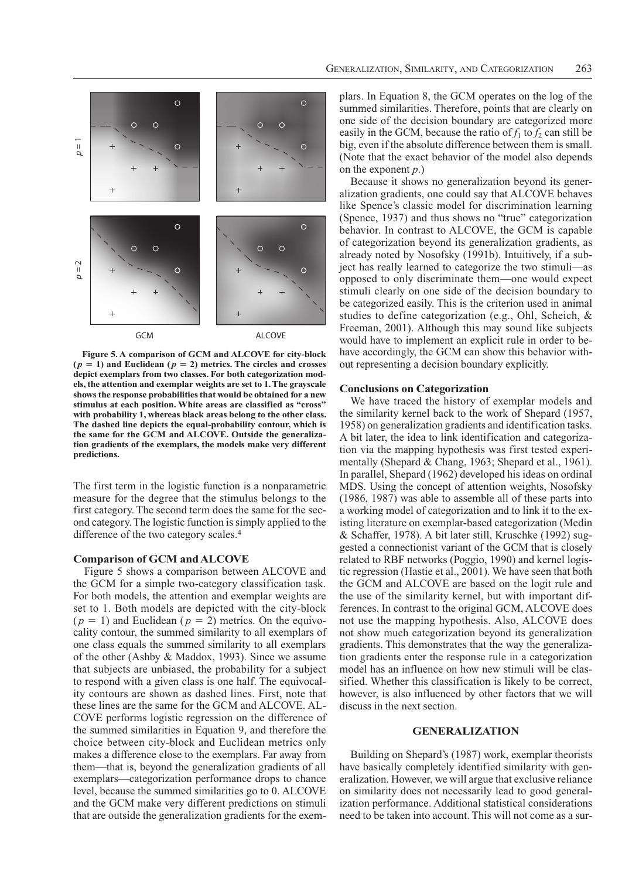

Figure 5. A comparison of GCM and ALCOVE for city-block  $(p = 1)$  and Euclidean  $(p = 2)$  metrics. The circles and crosses depict exemplars from two classes. For both categorization models, the attention and exemplar weights are set to 1. The grayscale shows the response probabilities that would be obtained for a new stimulus at each position. White areas are classified as "cross" with probability 1, whereas black areas belong to the other class. The dashed line depicts the equal-probability contour, which is the same for the GCM and ALCOVE. Outside the generalization gradients of the exemplars, the models make very different predictions.

The first term in the logistic function is a nonparametric measure for the degree that the stimulus belongs to the first category. The second term does the same for the second category. The logistic function is simply applied to the difference of the two category scales.<sup>4</sup>

#### **Comparison of GCM and ALCOVE**

Figure 5 shows a comparison between ALCOVE and the GCM for a simple two-category classification task. For both models, the attention and exemplar weights are set to 1. Both models are depicted with the city-block  $(p = 1)$  and Euclidean  $(p = 2)$  metrics. On the equivocality contour, the summed similarity to all exemplars of one class equals the summed similarity to all exemplars of the other (Ashby & Maddox, 1993). Since we assume that subjects are unbiased, the probability for a subject to respond with a given class is one half. The equivocality contours are shown as dashed lines. First, note that these lines are the same for the GCM and ALCOVE. AL-COVE performs logistic regression on the difference of the summed similarities in Equation 9, and therefore the choice between city-block and Euclidean metrics only makes a difference close to the exemplars. Far away from them—that is, beyond the generalization gradients of all exemplars—categorization performance drops to chance level, because the summed similarities go to 0. ALCOVE and the GCM make very different predictions on stimuli that are outside the generalization gradients for the exemplars. In Equation 8, the GCM operates on the log of the summed similarities. Therefore, points that are clearly on one side of the decision boundary are categorized more easily in the GCM, because the ratio of  $f_1$  to  $f_2$  can still be big, even if the absolute difference between them is small. (Note that the exact behavior of the model also depends) on the exponent  $p$ .)

Because it shows no generalization beyond its generalization gradients, one could say that ALCOVE behaves like Spence's classic model for discrimination learning (Spence, 1937) and thus shows no "true" categorization behavior. In contrast to ALCOVE, the GCM is capable of categorization beyond its generalization gradients, as already noted by Nosofsky (1991b). Intuitively, if a subject has really learned to categorize the two stimuli-as opposed to only discriminate them—one would expect stimuli clearly on one side of the decision boundary to be categorized easily. This is the criterion used in animal studies to define categorization (e.g., Ohl, Scheich, & Freeman, 2001). Although this may sound like subjects would have to implement an explicit rule in order to behave accordingly, the GCM can show this behavior without representing a decision boundary explicitly.

#### **Conclusions on Categorization**

We have traced the history of exemplar models and the similarity kernel back to the work of Shepard (1957, 1958) on generalization gradients and identification tasks. A bit later, the idea to link identification and categorization via the mapping hypothesis was first tested experimentally (Shepard & Chang, 1963; Shepard et al., 1961). In parallel, Shepard (1962) developed his ideas on ordinal MDS. Using the concept of attention weights, Nosofsky (1986, 1987) was able to assemble all of these parts into a working model of categorization and to link it to the existing literature on exemplar-based categorization (Medin & Schaffer, 1978). A bit later still, Kruschke (1992) suggested a connectionist variant of the GCM that is closely related to RBF networks (Poggio, 1990) and kernel logistic regression (Hastie et al., 2001). We have seen that both the GCM and ALCOVE are based on the logit rule and the use of the similarity kernel, but with important differences. In contrast to the original GCM, ALCOVE does not use the mapping hypothesis. Also, ALCOVE does not show much categorization beyond its generalization gradients. This demonstrates that the way the generalization gradients enter the response rule in a categorization model has an influence on how new stimuli will be classified. Whether this classification is likely to be correct, however, is also influenced by other factors that we will discuss in the next section.

# **GENERALIZATION**

Building on Shepard's (1987) work, exemplar theorists have basically completely identified similarity with generalization. However, we will argue that exclusive reliance on similarity does not necessarily lead to good generalization performance. Additional statistical considerations need to be taken into account. This will not come as a sur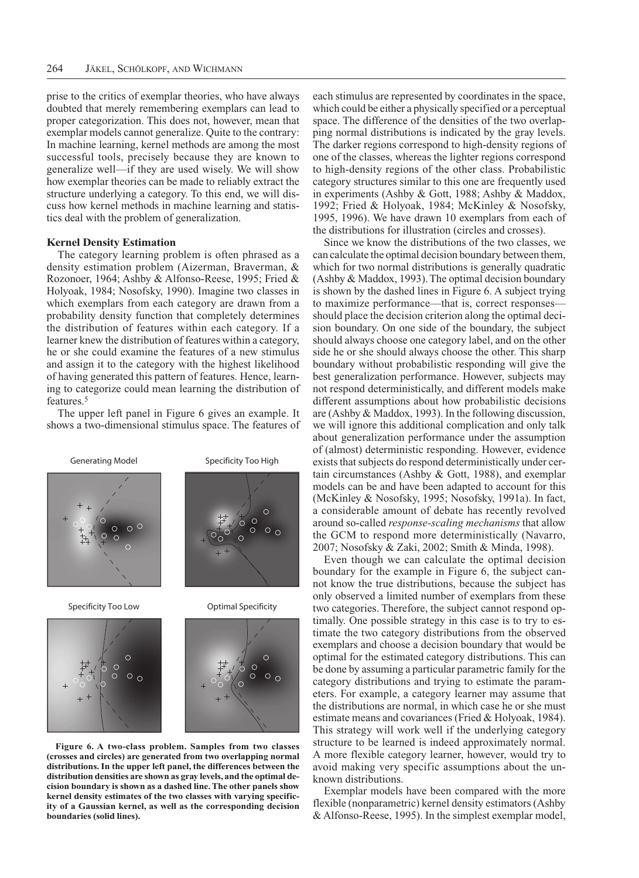prise to the critics of exemplar theories, who have always doubted that merely remembering exemplars can lead to proper categorization. This does not, however, mean that exemplar models cannot generalize. Quite to the contrary: In machine learning, kernel methods are among the most successful tools, precisely because they are known to generalize well—if they are used wisely. We will show how exemplar theories can be made to reliably extract the structure underlying a category. To this end, we will discuss how kernel methods in machine learning and statistics deal with the problem of generalization.

# **Kernel Density Estimation**

The category learning problem is often phrased as a density estimation problem (Aizerman, Braverman, & Rozonoer, 1964; Ashby & Alfonso-Reese, 1995; Fried & Holyoak, 1984; Nosofsky, 1990). Imagine two classes in which exemplars from each category are drawn from a probability density function that completely determines the distribution of features within each category. If a learner knew the distribution of features within a category, he or she could examine the features of a new stimulus and assign it to the category with the highest likelihood of having generated this pattern of features. Hence, learning to categorize could mean learning the distribution of features.<sup>5</sup>

The upper left panel in Figure 6 gives an example. It shows a two-dimensional stimulus space. The features of

 $\bigcirc$ 



Specificity Too Low



Figure 6. A two-class problem. Samples from two classes (crosses and circles) are generated from two overlapping normal distributions. In the upper left panel, the differences between the distribution densities are shown as gray levels, and the optimal decision boundary is shown as a dashed line. The other panels show kernel density estimates of the two classes with varying specificity of a Gaussian kernel, as well as the corresponding decision boundaries (solid lines).

each stimulus are represented by coordinates in the space, which could be either a physically specified or a perceptual space. The difference of the densities of the two overlapping normal distributions is indicated by the gray levels. The darker regions correspond to high-density regions of one of the classes, whereas the lighter regions correspond to high-density regions of the other class. Probabilistic category structures similar to this one are frequently used in experiments (Ashby & Gott, 1988; Ashby & Maddox, 1992; Fried & Holyoak, 1984; McKinley & Nosofsky, 1995, 1996). We have drawn 10 exemplars from each of the distributions for illustration (circles and crosses).

Since we know the distributions of the two classes, we can calculate the optimal decision boundary between them, which for two normal distributions is generally quadratic (Ashby & Maddox, 1993). The optimal decision boundary is shown by the dashed lines in Figure 6. A subject trying to maximize performance—that is, correct responses should place the decision criterion along the optimal decision boundary. On one side of the boundary, the subject should always choose one category label, and on the other side he or she should always choose the other. This sharp boundary without probabilistic responding will give the best generalization performance. However, subjects may not respond deterministically, and different models make different assumptions about how probabilistic decisions are (Ashby & Maddox, 1993). In the following discussion, we will ignore this additional complication and only talk about generalization performance under the assumption of (almost) deterministic responding. However, evidence exists that subjects do respond deterministically under certain circumstances (Ashby & Gott, 1988), and exemplar models can be and have been adapted to account for this (McKinley & Nosofsky, 1995; Nosofsky, 1991a). In fact, a considerable amount of debate has recently revolved around so-called response-scaling mechanisms that allow the GCM to respond more deterministically (Navarro, 2007; Nosofsky & Zaki, 2002; Smith & Minda, 1998).

Even though we can calculate the optimal decision boundary for the example in Figure 6, the subject cannot know the true distributions, because the subject has only observed a limited number of exemplars from these two categories. Therefore, the subject cannot respond optimally. One possible strategy in this case is to try to estimate the two category distributions from the observed exemplars and choose a decision boundary that would be optimal for the estimated category distributions. This can be done by assuming a particular parametric family for the category distributions and trying to estimate the parameters. For example, a category learner may assume that the distributions are normal, in which case he or she must estimate means and covariances (Fried & Holyoak, 1984). This strategy will work well if the underlying category structure to be learned is indeed approximately normal. A more flexible category learner, however, would try to avoid making very specific assumptions about the unknown distributions.

Exemplar models have been compared with the more flexible (nonparametric) kernel density estimators (Ashby & Alfonso-Reese, 1995). In the simplest exemplar model,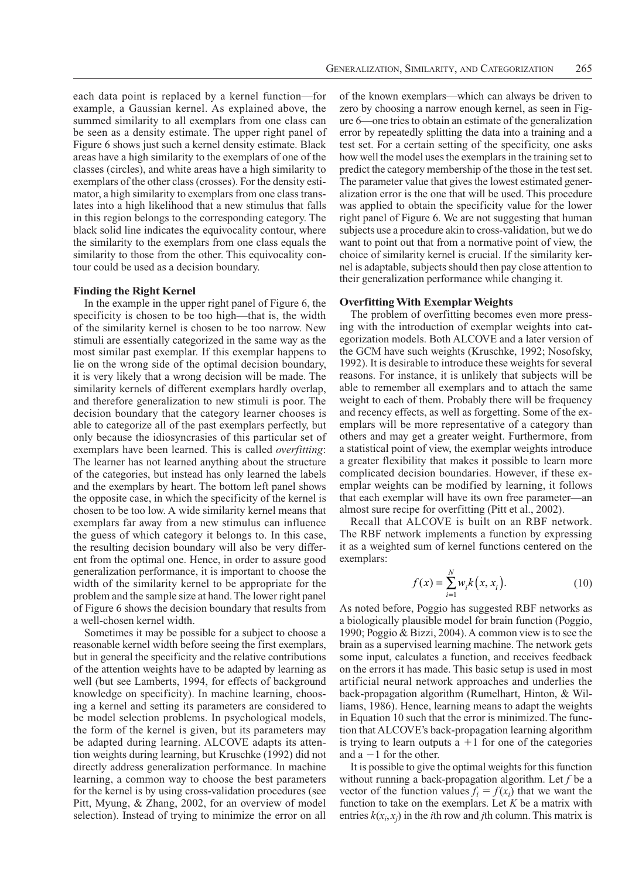each data point is replaced by a kernel function—for example, a Gaussian kernel. As explained above, the summed similarity to all exemplars from one class can be seen as a density estimate. The upper right panel of Figure 6 shows just such a kernel density estimate. Black areas have a high similarity to the exemplars of one of the classes (circles), and white areas have a high similarity to exemplars of the other class (crosses). For the density estimator, a high similarity to exemplars from one class translates into a high likelihood that a new stimulus that falls in this region belongs to the corresponding category. The black solid line indicates the equivocality contour, where the similarity to the exemplars from one class equals the similarity to those from the other. This equivocality contour could be used as a decision boundary.

#### **Finding the Right Kernel**

In the example in the upper right panel of Figure 6, the specificity is chosen to be too high—that is, the width of the similarity kernel is chosen to be too narrow. New stimuli are essentially categorized in the same way as the most similar past exemplar. If this exemplar happens to lie on the wrong side of the optimal decision boundary, it is very likely that a wrong decision will be made. The similarity kernels of different exemplars hardly overlap, and therefore generalization to new stimuli is poor. The decision boundary that the category learner chooses is able to categorize all of the past exemplars perfectly, but only because the idiosyncrasies of this particular set of exemplars have been learned. This is called *overfitting*: The learner has not learned anything about the structure of the categories, but instead has only learned the labels and the exemplars by heart. The bottom left panel shows the opposite case, in which the specificity of the kernel is chosen to be too low. A wide similarity kernel means that exemplars far away from a new stimulus can influence the guess of which category it belongs to. In this case, the resulting decision boundary will also be very different from the optimal one. Hence, in order to assure good generalization performance, it is important to choose the width of the similarity kernel to be appropriate for the problem and the sample size at hand. The lower right panel of Figure 6 shows the decision boundary that results from a well-chosen kernel width.

Sometimes it may be possible for a subject to choose a reasonable kernel width before seeing the first exemplars, but in general the specificity and the relative contributions of the attention weights have to be adapted by learning as well (but see Lamberts, 1994, for effects of background knowledge on specificity). In machine learning, choosing a kernel and setting its parameters are considered to be model selection problems. In psychological models, the form of the kernel is given, but its parameters may be adapted during learning. ALCOVE adapts its attention weights during learning, but Kruschke (1992) did not directly address generalization performance. In machine learning, a common way to choose the best parameters for the kernel is by using cross-validation procedures (see Pitt, Myung, & Zhang, 2002, for an overview of model selection). Instead of trying to minimize the error on all

of the known exemplars—which can always be driven to zero by choosing a narrow enough kernel, as seen in Figure 6—one tries to obtain an estimate of the generalization error by repeatedly splitting the data into a training and a test set. For a certain setting of the specificity, one asks how well the model uses the exemplars in the training set to predict the category membership of the those in the test set. The parameter value that gives the lowest estimated generalization error is the one that will be used. This procedure was applied to obtain the specificity value for the lower right panel of Figure 6. We are not suggesting that human subjects use a procedure akin to cross-validation, but we do want to point out that from a normative point of view, the choice of similarity kernel is crucial. If the similarity kernel is adaptable, subjects should then pay close attention to their generalization performance while changing it.

#### **Overfitting With Exemplar Weights**

The problem of overfitting becomes even more pressing with the introduction of exemplar weights into categorization models. Both ALCOVE and a later version of the GCM have such weights (Kruschke, 1992; Nosofsky, 1992). It is desirable to introduce these weights for several reasons. For instance, it is unlikely that subjects will be able to remember all exemplars and to attach the same weight to each of them. Probably there will be frequency and recency effects, as well as forgetting. Some of the exemplars will be more representative of a category than others and may get a greater weight. Furthermore, from a statistical point of view, the exemplar weights introduce a greater flexibility that makes it possible to learn more complicated decision boundaries. However, if these exemplar weights can be modified by learning, it follows that each exemplar will have its own free parameter—an almost sure recipe for overfitting (Pitt et al., 2002).

Recall that ALCOVE is built on an RBF network. The RBF network implements a function by expressing it as a weighted sum of kernel functions centered on the exemplars:

$$
f(x) = \sum_{i=1}^{N} w_i k(x, x_i).
$$
 (10)

As noted before, Poggio has suggested RBF networks as a biologically plausible model for brain function (Poggio, 1990; Poggio & Bizzi, 2004). A common view is to see the brain as a supervised learning machine. The network gets some input, calculates a function, and receives feedback on the errors it has made. This basic setup is used in most artificial neural network approaches and underlies the back-propagation algorithm (Rumelhart, Hinton, & Williams, 1986). Hence, learning means to adapt the weights in Equation 10 such that the error is minimized. The function that ALCOVE's back-propagation learning algorithm is trying to learn outputs  $a + 1$  for one of the categories and  $a - 1$  for the other.

It is possible to give the optimal weights for this function without running a back-propagation algorithm. Let  $f$  be a vector of the function values  $f_i = f(x_i)$  that we want the function to take on the exemplars. Let  $K$  be a matrix with entries  $k(x_i, x_j)$  in the *i*th row and *j*th column. This matrix is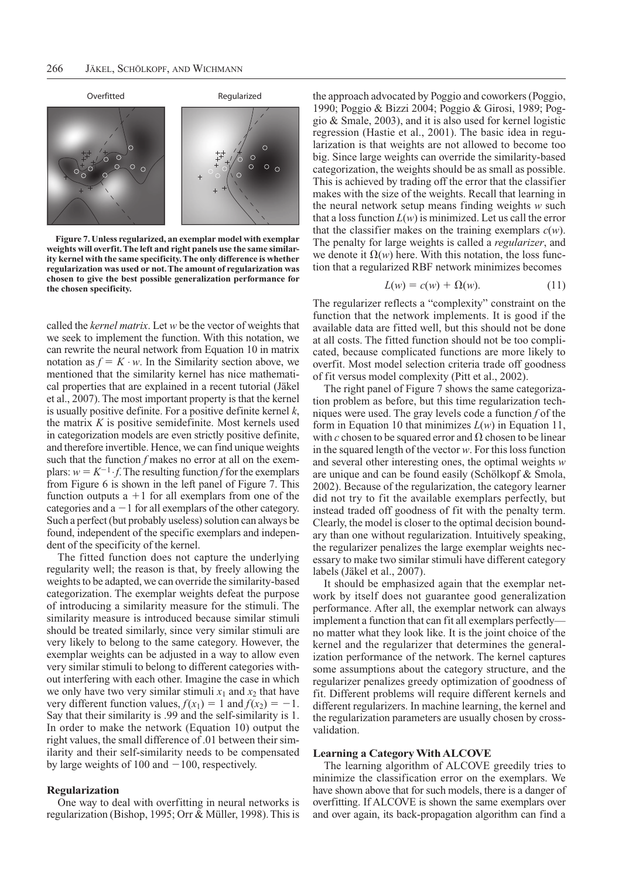

Figure 7. Unless regularized, an exemplar model with exemplar weights will overfit. The left and right panels use the same similarity kernel with the same specificity. The only difference is whether regularization was used or not. The amount of regularization was chosen to give the best possible generalization performance for the chosen specificity.

called the *kernel matrix*. Let w be the vector of weights that we seek to implement the function. With this notation, we can rewrite the neural network from Equation 10 in matrix notation as  $f = K \cdot w$ . In the Similarity section above, we mentioned that the similarity kernel has nice mathematical properties that are explained in a recent tutorial (Jäkel et al., 2007). The most important property is that the kernel is usually positive definite. For a positive definite kernel  $k$ , the matrix  $K$  is positive semidefinite. Most kernels used in categorization models are even strictly positive definite, and therefore invertible. Hence, we can find unique weights such that the function f makes no error at all on the exemplars:  $w = K^{-1} \cdot f$ . The resulting function f for the exemplars from Figure 6 is shown in the left panel of Figure 7. This function outputs  $a + 1$  for all exemplars from one of the categories and  $a - 1$  for all exemplars of the other category. Such a perfect (but probably useless) solution can always be found, independent of the specific exemplars and independent of the specificity of the kernel.

The fitted function does not capture the underlying regularity well; the reason is that, by freely allowing the weights to be adapted, we can override the similarity-based categorization. The exemplar weights defeat the purpose of introducing a similarity measure for the stimuli. The similarity measure is introduced because similar stimuli should be treated similarly, since very similar stimuli are very likely to belong to the same category. However, the exemplar weights can be adjusted in a way to allow even very similar stimuli to belong to different categories without interfering with each other. Imagine the case in which we only have two very similar stimuli  $x_1$  and  $x_2$  that have very different function values,  $f(x_1) = 1$  and  $f(x_2) = -1$ . Say that their similarity is .99 and the self-similarity is 1. In order to make the network (Equation 10) output the right values, the small difference of .01 between their similarity and their self-similarity needs to be compensated by large weights of 100 and  $-100$ , respectively.

#### Regularization

One way to deal with overfitting in neural networks is regularization (Bishop, 1995; Orr & Müller, 1998). This is

the approach advocated by Poggio and coworkers (Poggio, 1990; Poggio & Bizzi 2004; Poggio & Girosi, 1989; Poggio  $\&$  Smale, 2003), and it is also used for kernel logistic regression (Hastie et al., 2001). The basic idea in regularization is that weights are not allowed to become too big. Since large weights can override the similarity-based categorization, the weights should be as small as possible. This is achieved by trading off the error that the classifier makes with the size of the weights. Recall that learning in the neural network setup means finding weights  $w$  such that a loss function  $L(w)$  is minimized. Let us call the error that the classifier makes on the training exemplars  $c(w)$ . The penalty for large weights is called a *regularizer*, and we denote it  $\Omega(w)$  here. With this notation, the loss function that a regularized RBF network minimizes becomes

$$
L(w) = c(w) + \Omega(w). \tag{11}
$$

The regularizer reflects a "complexity" constraint on the function that the network implements. It is good if the available data are fitted well, but this should not be done at all costs. The fitted function should not be too complicated, because complicated functions are more likely to overfit. Most model selection criteria trade off goodness of fit versus model complexity (Pitt et al., 2002).

The right panel of Figure 7 shows the same categorization problem as before, but this time regularization techniques were used. The gray levels code a function  $f$  of the form in Equation 10 that minimizes  $L(w)$  in Equation 11, with c chosen to be squared error and  $\Omega$  chosen to be linear in the squared length of the vector  $w$ . For this loss function and several other interesting ones, the optimal weights  $w$ are unique and can be found easily (Schölkopf & Smola, 2002). Because of the regularization, the category learner did not try to fit the available exemplars perfectly, but instead traded off goodness of fit with the penalty term. Clearly, the model is closer to the optimal decision boundary than one without regularization. Intuitively speaking, the regularizer penalizes the large exemplar weights necessary to make two similar stimuli have different category labels (Jäkel et al., 2007).

It should be emphasized again that the exemplar network by itself does not guarantee good generalization performance. After all, the exemplar network can always implement a function that can fit all exemplars perfectly no matter what they look like. It is the joint choice of the kernel and the regularizer that determines the generalization performance of the network. The kernel captures some assumptions about the category structure, and the regularizer penalizes greedy optimization of goodness of fit. Different problems will require different kernels and different regularizers. In machine learning, the kernel and the regularization parameters are usually chosen by crossvalidation.

## **Learning a Category With ALCOVE**

The learning algorithm of ALCOVE greedily tries to minimize the classification error on the exemplars. We have shown above that for such models, there is a danger of overfitting. If ALCOVE is shown the same exemplars over and over again, its back-propagation algorithm can find a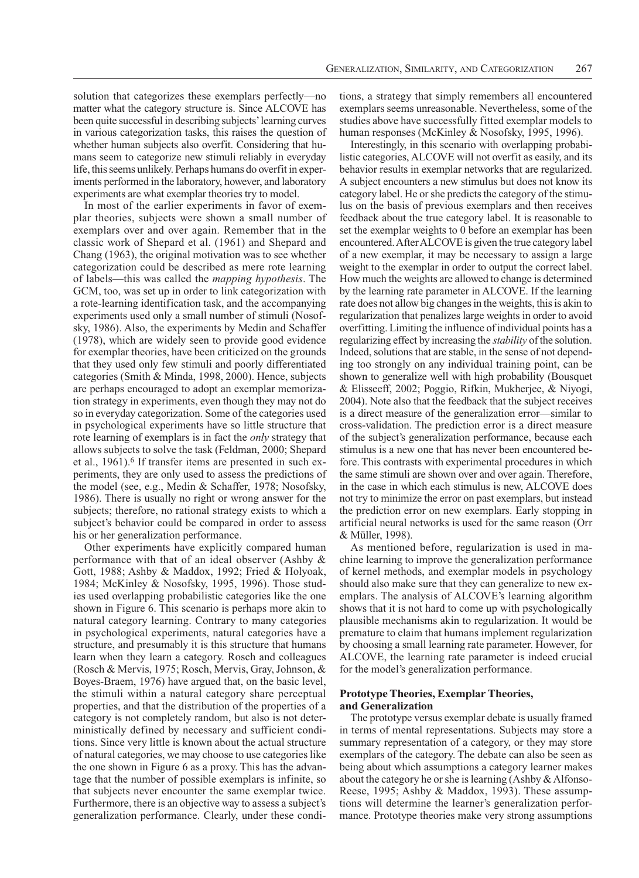solution that categorizes these exemplars perfectly—no matter what the category structure is. Since ALCOVE has been quite successful in describing subjects' learning curves in various categorization tasks, this raises the question of whether human subjects also overfit. Considering that humans seem to categorize new stimuli reliably in everyday life, this seems unlikely. Perhaps humans do overfit in experiments performed in the laboratory, however, and laboratory experiments are what exemplar theories try to model.

In most of the earlier experiments in favor of exemplar theories, subjects were shown a small number of exemplars over and over again. Remember that in the classic work of Shepard et al. (1961) and Shepard and Chang (1963), the original motivation was to see whether categorization could be described as mere rote learning of labels—this was called the *mapping hypothesis*. The GCM, too, was set up in order to link categorization with a rote-learning identification task, and the accompanying experiments used only a small number of stimuli (Nosofsky, 1986). Also, the experiments by Medin and Schaffer (1978), which are widely seen to provide good evidence for exemplar theories, have been criticized on the grounds that they used only few stimuli and poorly differentiated categories (Smith & Minda, 1998, 2000). Hence, subjects are perhaps encouraged to adopt an exemplar memorization strategy in experiments, even though they may not do so in everyday categorization. Some of the categories used in psychological experiments have so little structure that rote learning of exemplars is in fact the *only* strategy that allows subjects to solve the task (Feldman, 2000; Shepard et al., 1961).<sup>6</sup> If transfer items are presented in such experiments, they are only used to assess the predictions of the model (see, e.g., Medin & Schaffer, 1978; Nosofsky, 1986). There is usually no right or wrong answer for the subjects; therefore, no rational strategy exists to which a subject's behavior could be compared in order to assess his or her generalization performance.

Other experiments have explicitly compared human performance with that of an ideal observer (Ashby & Gott, 1988; Ashby & Maddox, 1992; Fried & Holyoak, 1984; McKinley & Nosofsky, 1995, 1996). Those studies used overlapping probabilistic categories like the one shown in Figure 6. This scenario is perhaps more akin to natural category learning. Contrary to many categories in psychological experiments, natural categories have a structure, and presumably it is this structure that humans learn when they learn a category. Rosch and colleagues (Rosch & Mervis, 1975; Rosch, Mervis, Gray, Johnson, & Boyes-Braem, 1976) have argued that, on the basic level, the stimuli within a natural category share perceptual properties, and that the distribution of the properties of a category is not completely random, but also is not deterministically defined by necessary and sufficient conditions. Since very little is known about the actual structure of natural categories, we may choose to use categories like the one shown in Figure 6 as a proxy. This has the advantage that the number of possible exemplars is infinite, so that subjects never encounter the same exemplar twice. Furthermore, there is an objective way to assess a subject's generalization performance. Clearly, under these condi-

tions, a strategy that simply remembers all encountered exemplars seems unreasonable. Nevertheless, some of the studies above have successfully fitted exemplar models to human responses (McKinley & Nosofsky, 1995, 1996).

Interestingly, in this scenario with overlapping probabilistic categories, ALCOVE will not overfit as easily, and its behavior results in exemplar networks that are regularized. A subject encounters a new stimulus but does not know its category label. He or she predicts the category of the stimulus on the basis of previous exemplars and then receives feedback about the true category label. It is reasonable to set the exemplar weights to 0 before an exemplar has been encountered. After ALCOVE is given the true category label of a new exemplar, it may be necessary to assign a large weight to the exemplar in order to output the correct label. How much the weights are allowed to change is determined by the learning rate parameter in ALCOVE. If the learning rate does not allow big changes in the weights, this is akin to regularization that penalizes large weights in order to avoid overfitting. Limiting the influence of individual points has a regularizing effect by increasing the *stability* of the solution. Indeed, solutions that are stable, in the sense of not depending too strongly on any individual training point, can be shown to generalize well with high probability (Bousquet & Elisseeff, 2002; Poggio, Rifkin, Mukherjee, & Niyogi, 2004). Note also that the feedback that the subject receives is a direct measure of the generalization error—similar to cross-validation. The prediction error is a direct measure of the subject's generalization performance, because each stimulus is a new one that has never been encountered before. This contrasts with experimental procedures in which the same stimuli are shown over and over again. Therefore, in the case in which each stimulus is new, ALCOVE does not try to minimize the error on past exemplars, but instead the prediction error on new exemplars. Early stopping in artificial neural networks is used for the same reason (Orr & Müller, 1998).

As mentioned before, regularization is used in machine learning to improve the generalization performance of kernel methods, and exemplar models in psychology should also make sure that they can generalize to new exemplars. The analysis of ALCOVE's learning algorithm shows that it is not hard to come up with psychologically plausible mechanisms akin to regularization. It would be premature to claim that humans implement regularization by choosing a small learning rate parameter. However, for ALCOVE, the learning rate parameter is indeed crucial for the model's generalization performance.

# Prototype Theories, Exemplar Theories, and Generalization

The prototype versus exemplar debate is usually framed in terms of mental representations. Subjects may store a summary representation of a category, or they may store exemplars of the category. The debate can also be seen as being about which assumptions a category learner makes about the category he or she is learning (Ashby & Alfonso-Reese, 1995; Ashby & Maddox, 1993). These assumptions will determine the learner's generalization performance. Prototype theories make very strong assumptions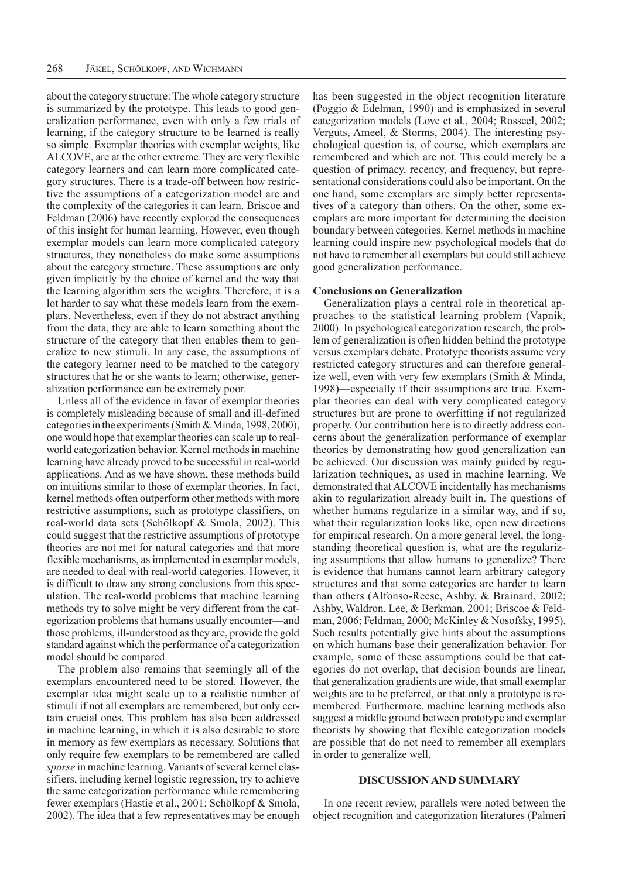about the category structure: The whole category structure is summarized by the prototype. This leads to good generalization performance, even with only a few trials of learning, if the category structure to be learned is really so simple. Exemplar theories with exemplar weights, like ALCOVE, are at the other extreme. They are very flexible category learners and can learn more complicated category structures. There is a trade-off between how restrictive the assumptions of a categorization model are and the complexity of the categories it can learn. Briscoe and Feldman (2006) have recently explored the consequences of this insight for human learning. However, even though exemplar models can learn more complicated category structures, they nonetheless do make some assumptions about the category structure. These assumptions are only given implicitly by the choice of kernel and the way that the learning algorithm sets the weights. Therefore, it is a lot harder to say what these models learn from the exemplars. Nevertheless, even if they do not abstract anything from the data, they are able to learn something about the structure of the category that then enables them to generalize to new stimuli. In any case, the assumptions of the category learner need to be matched to the category structures that he or she wants to learn; otherwise, generalization performance can be extremely poor.

Unless all of the evidence in favor of exemplar theories is completely misleading because of small and ill-defined categories in the experiments (Smith & Minda, 1998, 2000), one would hope that exemplar theories can scale up to realworld categorization behavior. Kernel methods in machine learning have already proved to be successful in real-world applications. And as we have shown, these methods build on intuitions similar to those of exemplar theories. In fact, kernel methods often outperform other methods with more restrictive assumptions, such as prototype classifiers, on real-world data sets (Schölkopf & Smola, 2002). This could suggest that the restrictive assumptions of prototype theories are not met for natural categories and that more flexible mechanisms, as implemented in exemplar models, are needed to deal with real-world categories. However, it is difficult to draw any strong conclusions from this speculation. The real-world problems that machine learning methods try to solve might be very different from the categorization problems that humans usually encounter—and those problems, ill-understood as they are, provide the gold standard against which the performance of a categorization model should be compared.

The problem also remains that seemingly all of the exemplars encountered need to be stored. However, the exemplar idea might scale up to a realistic number of stimuli if not all exemplars are remembered, but only certain crucial ones. This problem has also been addressed in machine learning, in which it is also desirable to store in memory as few exemplars as necessary. Solutions that only require few exemplars to be remembered are called sparse in machine learning. Variants of several kernel classifiers, including kernel logistic regression, try to achieve the same categorization performance while remembering fewer exemplars (Hastie et al., 2001; Schölkopf & Smola, 2002). The idea that a few representatives may be enough

has been suggested in the object recognition literature (Poggio & Edelman, 1990) and is emphasized in several categorization models (Love et al., 2004; Rosseel, 2002; Verguts, Ameel, & Storms, 2004). The interesting psychological question is, of course, which exemplars are remembered and which are not. This could merely be a question of primacy, recency, and frequency, but representational considerations could also be important. On the one hand, some exemplars are simply better representatives of a category than others. On the other, some exemplars are more important for determining the decision boundary between categories. Kernel methods in machine learning could inspire new psychological models that do not have to remember all exemplars but could still achieve good generalization performance.

#### **Conclusions on Generalization**

Generalization plays a central role in theoretical approaches to the statistical learning problem (Vapnik, 2000). In psychological categorization research, the problem of generalization is often hidden behind the prototype versus exemplars debate. Prototype theorists assume very restricted category structures and can therefore generalize well, even with very few exemplars (Smith & Minda, 1998)—especially if their assumptions are true. Exemplar theories can deal with very complicated category structures but are prone to overfitting if not regularized properly. Our contribution here is to directly address concerns about the generalization performance of exemplar theories by demonstrating how good generalization can be achieved. Our discussion was mainly guided by regularization techniques, as used in machine learning. We demonstrated that ALCOVE incidentally has mechanisms akin to regularization already built in. The questions of whether humans regularize in a similar way, and if so, what their regularization looks like, open new directions for empirical research. On a more general level, the longstanding theoretical question is, what are the regularizing assumptions that allow humans to generalize? There is evidence that humans cannot learn arbitrary category structures and that some categories are harder to learn than others (Alfonso-Reese, Ashby, & Brainard, 2002; Ashby, Waldron, Lee, & Berkman, 2001; Briscoe & Feldman, 2006; Feldman, 2000; McKinley & Nosofsky, 1995). Such results potentially give hints about the assumptions on which humans base their generalization behavior. For example, some of these assumptions could be that categories do not overlap, that decision bounds are linear, that generalization gradients are wide, that small exemplar weights are to be preferred, or that only a prototype is remembered. Furthermore, machine learning methods also suggest a middle ground between prototype and exemplar theorists by showing that flexible categorization models are possible that do not need to remember all exemplars in order to generalize well.

# **DISCUSSION AND SUMMARY**

In one recent review, parallels were noted between the object recognition and categorization literatures (Palmeri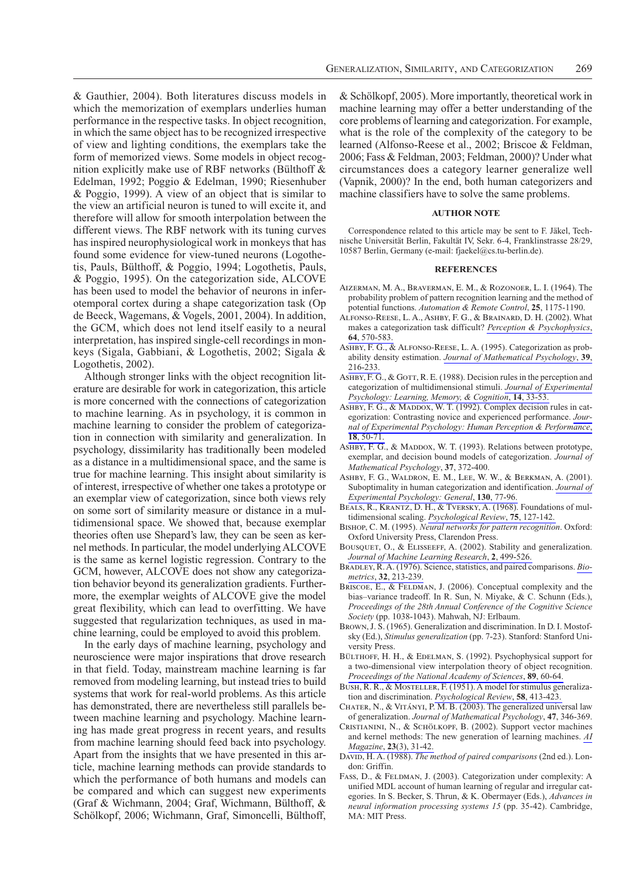& Gauthier, 2004). Both literatures discuss models in which the memorization of exemplars underlies human performance in the respective tasks. In object recognition, in which the same object has to be recognized irrespective of view and lighting conditions, the exemplars take the form of memorized views. Some models in object recognition explicitly make use of RBF networks (Bülthoff & Edelman, 1992; Poggio & Edelman, 1990; Riesenhuber & Poggio, 1999). A view of an object that is similar to the view an artificial neuron is tuned to will excite it, and therefore will allow for smooth interpolation between the different views. The RBF network with its tuning curves has inspired neurophysiological work in monkeys that has found some evidence for view-tuned neurons (Logothetis, Pauls, Bülthoff, & Poggio, 1994; Logothetis, Pauls, & Poggio, 1995). On the categorization side, ALCOVE has been used to model the behavior of neurons in inferotemporal cortex during a shape categorization task (Op de Beeck, Wagemans, & Vogels, 2001, 2004). In addition, the GCM, which does not lend itself easily to a neural interpretation, has inspired single-cell recordings in monkeys (Sigala, Gabbiani, & Logothetis, 2002; Sigala & Logothetis, 2002).

Although stronger links with the object recognition literature are desirable for work in categorization, this article is more concerned with the connections of categorization to machine learning. As in psychology, it is common in machine learning to consider the problem of categorization in connection with similarity and generalization. In psychology, dissimilarity has traditionally been modeled as a distance in a multidimensional space, and the same is true for machine learning. This insight about similarity is of interest, irrespective of whether one takes a prototype or an exemplar view of categorization, since both views rely on some sort of similarity measure or distance in a multidimensional space. We showed that, because exemplar theories often use Shepard's law, they can be seen as kernel methods. In particular, the model underlying ALCOVE is the same as kernel logistic regression. Contrary to the GCM, however, ALCOVE does not show any categorization behavior beyond its generalization gradients. Furthermore, the exemplar weights of ALCOVE give the model great flexibility, which can lead to overfitting. We have suggested that regularization techniques, as used in machine learning, could be employed to avoid this problem.

In the early days of machine learning, psychology and neuroscience were major inspirations that drove research in that field. Today, mainstream machine learning is far removed from modeling learning, but instead tries to build systems that work for real-world problems. As this article has demonstrated, there are nevertheless still parallels between machine learning and psychology. Machine learning has made great progress in recent years, and results from machine learning should feed back into psychology. Apart from the insights that we have presented in this article, machine learning methods can provide standards to which the performance of both humans and models can be compared and which can suggest new experiments (Graf & Wichmann, 2004; Graf, Wichmann, Bülthoff, & Schölkopf, 2006; Wichmann, Graf, Simoncelli, Bülthoff,

& Schölkopf, 2005). More importantly, theoretical work in machine learning may offer a better understanding of the core problems of learning and categorization. For example, what is the role of the complexity of the category to be learned (Alfonso-Reese et al., 2002; Briscoe & Feldman, 2006; Fass & Feldman, 2003; Feldman, 2000)? Under what circumstances does a category learner generalize well (Vapnik, 2000)? In the end, both human categorizers and machine classifiers have to solve the same problems.

#### **AUTHOR NOTE**

Correspondence related to this article may be sent to F. Jäkel, Technische Universität Berlin, Fakultät IV, Sekr. 6-4, Franklinstrasse 28/29, 10587 Berlin, Germany (e-mail: fjaekel@cs.tu-berlin.de).

#### **REFERENCES**

- AIZERMAN, M. A., BRAVERMAN, E. M., & ROZONOER, L. I. (1964). The probability problem of pattern recognition learning and the method of potential functions. Automation & Remote Control, 25, 1175-1190.
- ALFONSO-REESE, L. A., ASHBY, F. G., & BRAINARD, D. H. (2002). What makes a categorization task difficult? Perception & Psychophysics, 64, 570-583
- ASHBY, F. G., & ALFONSO-REESE, L. A. (1995). Categorization as probability density estimation. Journal of Mathematical Psychology, 39, 216-233
- ASHBY, F.G., & GOTT, R.E. (1988). Decision rules in the perception and categorization of multidimensional stimuli. Journal of Experimental Psychology: Learning, Memory, & Cognition, 14, 33-53.
- ASHBY, F. G., & MADDOX, W. T. (1992). Complex decision rules in categorization: Contrasting novice and experienced performance. Journal of Experimental Psychology: Human Perception & Performance,  $18, 50-71.$
- ASHBY, F. G., & MADDOX, W. T. (1993). Relations between prototype, exemplar, and decision bound models of categorization. Journal of Mathematical Psychology, 37, 372-400.
- ASHBY, F. G., WALDRON, E. M., LEE, W. W., & BERKMAN, A. (2001). Suboptimality in human categorization and identification. Journal of Experimental Psychology: General, 130, 77-96.
- BEALS, R., KRANTZ, D. H., & TVERSKY, A. (1968). Foundations of multidimensional scaling. Psychological Review, 75, 127-142.
- BISHOP, C. M. (1995). Neural networks for pattern recognition. Oxford: Oxford University Press, Clarendon Press.
- BOUSQUET, O., & ELISSEEFF, A. (2002). Stability and generalization. Journal of Machine Learning Research, 2, 499-526.
- BRADLEY, R. A. (1976). Science, statistics, and paired comparisons. Biometrics, 32, 213-239.
- BRISCOE, E., & FELDMAN, J. (2006). Conceptual complexity and the bias-variance tradeoff. In R. Sun, N. Miyake, & C. Schunn (Eds.), Proceedings of the 28th Annual Conference of the Cognitive Science Society (pp. 1038-1043). Mahwah, NJ: Erlbaum.
- BROWN, J. S. (1965). Generalization and discrimination. In D. I. Mostofsky (Ed.), Stimulus generalization (pp. 7-23). Stanford: Stanford University Press.
- BÜLTHOFF, H. H., & EDELMAN, S. (1992). Psychophysical support for a two-dimensional view interpolation theory of object recognition. Proceedings of the National Academy of Sciences, 89, 60-64.
- BUSH, R. R., & MOSTELLER, F. (1951). A model for stimulus generalization and discrimination. Psychological Review, 58, 413-423.
- CHATER, N., & VITÁNYI, P. M. B. (2003). The generalized universal law of generalization. Journal of Mathematical Psychology, 47, 346-369.
- CRISTIANINI, N., & SCHÖLKOPF, B. (2002). Support vector machines and kernel methods: The new generation of learning machines. AI *Magazine*, 23(3), 31-42.
- DAVID, H. A. (1988). The method of paired comparisons (2nd ed.). London: Griffin.
- FASS, D., & FELDMAN, J. (2003). Categorization under complexity: A unified MDL account of human learning of regular and irregular categories. In S. Becker, S. Thrun, & K. Obermayer (Eds.), Advances in neural information processing systems 15 (pp. 35-42). Cambridge, MA: MIT Press.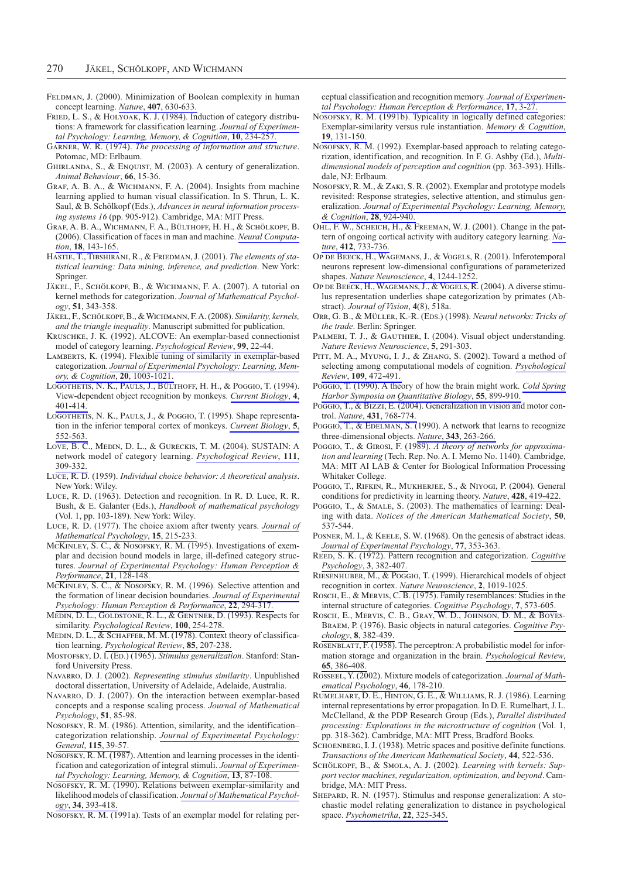- FELDMAN, J. (2000). Minimization of Boolean complexity in human concept learning. Nature, 407, 630-633.
- FRIED, L. S., & HOLYOAK, K. J. (1984). Induction of category distributions: A framework for classification learning. Journal of Experimental Psychology: Learning, Memory, & Cognition, 10, 234-257.
- GARNER, W. R. (1974). The processing of information and structure. Potomac, MD: Erlbaum.
- GHIRLANDA, S., & ENQUIST, M. (2003). A century of generalization. Animal Behaviour, 66, 15-36.
- GRAF, A. B. A., & WICHMANN, F. A. (2004). Insights from machine learning applied to human visual classification. In S. Thrun, L. K. Saul, & B. Schölkopf (Eds.), Advances in neural information processing systems 16 (pp. 905-912). Cambridge, MA: MIT Press.
- GRAF, A. B. A., WICHMANN, F. A., BÜLTHOFF, H. H., & SCHÖLKOPF, B. (2006). Classification of faces in man and machine. Neural Computation, 18, 143-165.
- HASTIE, T., TIBSHIRANI, R., & FRIEDMAN, J. (2001). The elements of statistical learning: Data mining, inference, and prediction. New York: Springer.
- JÄKEL, F., SCHÖLKOPF, B., & WICHMANN, F. A. (2007). A tutorial on kernel methods for categorization. Journal of Mathematical Psychology, 51, 343-358.
- JÄKEL, F., SCHÖLKOPF, B., & WICHMANN, F.A. (2008). Similarity, kernels, and the triangle inequality. Manuscript submitted for publication.
- KRUSCHKE, J. K. (1992). ALCOVE: An exemplar-based connectionist model of category learning. Psychological Review, 99, 22-44.
- LAMBERTS, K. (1994). Flexible tuning of similarity in exemplar-based categorization. Journal of Experimental Psychology: Learning, Memory, & Cognition, 20, 1003-1021.
- LOGOTHETIS, N. K., PAULS, J., BÜLTHOFF, H. H., & POGGIO, T. (1994). View-dependent object recognition by monkeys. Current Biology, 4, 401-414.
- LOGOTHETIS, N. K., PAULS, J., & POGGIO, T. (1995). Shape representation in the inferior temporal cortex of monkeys. Current Biology, 5, 552-563
- LOVE, B. C., MEDIN, D. L., & GURECKIS, T. M. (2004). SUSTAIN: A network model of category learning. Psychological Review, 111, 309-332
- LUCE, R. D. (1959). Individual choice behavior: A theoretical analysis. New York: Wiley.
- LUCE, R. D. (1963). Detection and recognition. In R. D. Luce, R. R. Bush, & E. Galanter (Eds.), Handbook of mathematical psychology (Vol. 1, pp. 103-189). New York: Wiley.
- LUCE, R. D. (1977). The choice axiom after twenty years. Journal of Mathematical Psychology, 15, 215-233.
- MCKINLEY, S. C., & NOSOFSKY, R. M. (1995). Investigations of exemplar and decision bound models in large, ill-defined category structures. Journal of Experimental Psychology: Human Perception & Performance, 21, 128-148.
- MCKINLEY, S. C., & NOSOFSKY, R. M. (1996). Selective attention and the formation of linear decision boundaries. Journal of Experimental Psychology: Human Perception & Performance, 22, 294-317.
- MEDIN, D. L., GOLDSTONE, R. L., & GENTNER, D. (1993). Respects for similarity. Psychological Review, 100, 254-278.
- MEDIN, D. L., & SCHAFFER, M. M. (1978). Context theory of classification learning. Psychological Review, 85, 207-238.
- MOSTOFSKY, D. I. (ED.) (1965). Stimulus generalization. Stanford: Stanford University Press.
- NAVARRO, D. J. (2002). Representing stimulus similarity. Unpublished doctoral dissertation, University of Adelaide, Adelaide, Australia.
- NAVARRO, D. J. (2007). On the interaction between exemplar-based concepts and a response scaling process. Journal of Mathematical Psychology, 51, 85-98.
- NOSOFSKY, R. M. (1986). Attention, similarity, and the identificationcategorization relationship. Journal of Experimental Psychology: General, 115, 39-57.
- NOSOFSKY, R. M. (1987). Attention and learning processes in the identification and categorization of integral stimuli. Journal of Experimental Psychology: Learning, Memory, & Cognition, 13, 87-108.
- NOSOFSKY, R. M. (1990). Relations between exemplar-similarity and likelihood models of classification. Journal of Mathematical Psychology, 34, 393-418.
- NOSOFSKY, R. M. (1991a). Tests of an exemplar model for relating per-

ceptual classification and recognition memory. Journal of Experimental Psychology: Human Perception & Performance, 17, 3-27.

- NOSOFSKY, R. M. (1991b). Typicality in logically defined categories: Exemplar-similarity versus rule instantiation. Memory & Cognition, 19, 131-150.
- NOSOFSKY, R. M. (1992). Exemplar-based approach to relating categorization, identification, and recognition. In F. G. Ashby (Ed.), Multidimensional models of perception and cognition (pp. 363-393). Hillsdale, NJ: Erlbaum.
- NOSOFSKY, R. M., & ZAKI, S. R. (2002). Exemplar and prototype models revisited: Response strategies, selective attention, and stimulus generalization. Journal of Experimental Psychology: Learning, Memory, & Cognition, 28, 924-940.
- OHL, F. W., SCHEICH, H., & FREEMAN, W. J. (2001). Change in the pattern of ongoing cortical activity with auditory category learning. Nature, 412, 733-736.
- OP DE BEECK, H., WAGEMANS, J., & VOGELS, R. (2001). Inferotemporal neurons represent low-dimensional configurations of parameterized shapes. Nature Neuroscience, 4, 1244-1252.
- OP DE BEECK, H., WAGEMANS, J., & VOGELS, R. (2004). A diverse stimulus representation underlies shape categorization by primates (Abstract). Journal of Vision, 4(8), 518a.
- ORR, G. B., & MÜLLER, K.-R. (EDS.) (1998). Neural networks: Tricks of the trade. Berlin: Springer.
- PALMERI, T. J., & GAUTHIER, I. (2004). Visual object understanding. Nature Reviews Neuroscience, 5, 291-303.
- PITT, M. A., MYUNG, I. J., & ZHANG, S. (2002). Toward a method of selecting among computational models of cognition. Psychological Review, 109, 472-491.
- PoGGIO, T. (1990). A theory of how the brain might work. Cold Spring Harbor Symposia on Quantitative Biology, 55, 899-910.
- PoGGIO, T., & BIZZI, E. (2004). Generalization in vision and motor control. Nature, 431, 768-774.
- POGGIO, T., & EDELMAN, S. (1990). A network that learns to recognize three-dimensional objects. Nature, 343, 263-266.
- POGGIO, T., & GIROSI, F. (1989). A theory of networks for approximation and learning (Tech. Rep. No. A. I. Memo No. 1140). Cambridge, MA: MIT AI LAB & Center for Biological Information Processing Whitaker College.
- POGGIO, T., RIFKIN, R., MUKHERJEE, S., & NIYOGI, P. (2004). General conditions for predictivity in learning theory. Nature, 428, 419-422.
- POGGIO, T., & SMALE, S. (2003). The mathematics of learning: Dealing with data. Notices of the American Mathematical Society, 50, 537-544
- POSNER, M. I., & KEELE, S. W. (1968). On the genesis of abstract ideas. Journal of Experimental Psychology, 77, 353-363.
- REED, S. K. (1972). Pattern recognition and categorization. Cognitive Psychology, 3, 382-407.
- RIESENHUBER, M., & POGGIO, T. (1999). Hierarchical models of object recognition in cortex. Nature Neuroscience, 2, 1019-1025.
- ROSCH, E., & MERVIS, C. B. (1975). Family resemblances: Studies in the internal structure of categories. Cognitive Psychology, 7, 573-605.
- ROSCH, E., MERVIS, C. B., GRAY, W. D., JOHNSON, D. M., & BOYES-BRAEM, P. (1976). Basic objects in natural categories. Cognitive Psychology, 8, 382-439.
- ROSENBLATT, F. (1958). The perceptron: A probabilistic model for information storage and organization in the brain. Psychological Review, 65.386-408
- ROSSEEL, Y. (2002). Mixture models of categorization. Journal of Mathematical Psychology, 46, 178-210.
- RUMELHART, D. E., HINTON, G. E., & WILLIAMS, R. J. (1986). Learning internal representations by error propagation. In D. E. Rumelhart, J. L. McClelland, & the PDP Research Group (Eds.), Parallel distributed processing: Explorations in the microstructure of cognition (Vol. 1, pp. 318-362). Cambridge, MA: MIT Press, Bradford Books.
- SCHOENBERG, I. J. (1938). Metric spaces and positive definite functions. Transactions of the American Mathematical Society, 44, 522-536.
- SCHÖLKOPF, B., & SMOLA, A. J. (2002). Learning with kernels: Support vector machines, regularization, optimization, and beyond. Cambridge, MA: MIT Press.
- SHEPARD, R. N. (1957). Stimulus and response generalization: A stochastic model relating generalization to distance in psychological space. Psychometrika, 22, 325-345.